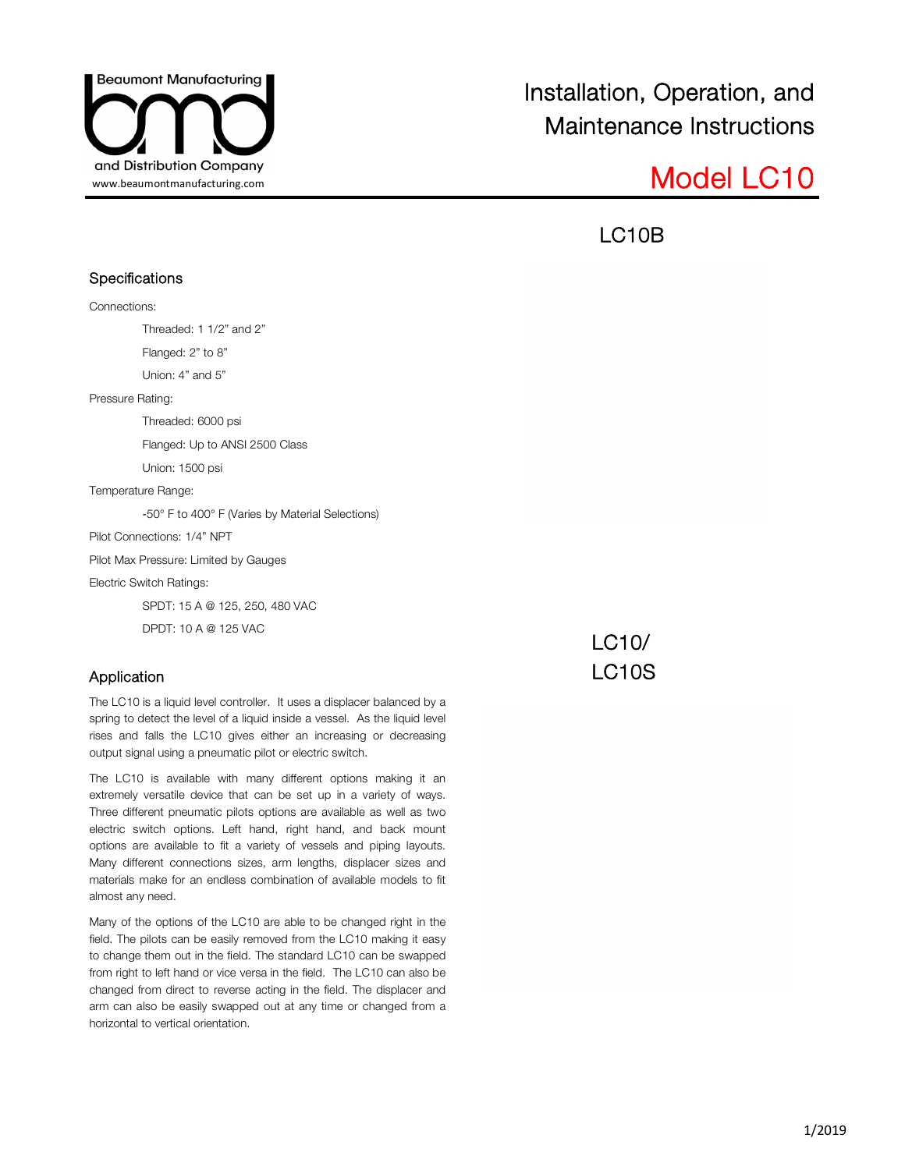

LC10B

### **Specifications**

Connections:

Threaded: 1 1/2" and 2"

Flanged: 2" to 8"

Union: 4" and 5"

Pressure Rating:

Threaded: 6000 psi

Flanged: Up to ANSI 2500 Class

Union: 1500 psi

Temperature Range:

-50° F to 400° F (Varies by Material Selections)

Pilot Connections: 1/4" NPT

Pilot Max Pressure: Limited by Gauges

Electric Switch Ratings:

SPDT: 15 A @ 125, 250, 480 VAC

DPDT: 10 A @ 125 VAC

### Application

The LC10 is a liquid level controller. It uses a displacer balanced by a spring to detect the level of a liquid inside a vessel. As the liquid level rises and falls the LC10 gives either an increasing or decreasing output signal using a pneumatic pilot or electric switch.

The LC10 is available with many different options making it an extremely versatile device that can be set up in a variety of ways. Three different pneumatic pilots options are available as well as two electric switch options. Left hand, right hand, and back mount options are available to fit a variety of vessels and piping layouts. Many different connections sizes, arm lengths, displacer sizes and materials make for an endless combination of available models to fit almost any need.

Many of the options of the LC10 are able to be changed right in the field. The pilots can be easily removed from the LC10 making it easy to change them out in the field. The standard LC10 can be swapped from right to left hand or vice versa in the field. The LC10 can also be changed from direct to reverse acting in the field. The displacer and arm can also be easily swapped out at any time or changed from a horizontal to vertical orientation.

LC10/ LC10S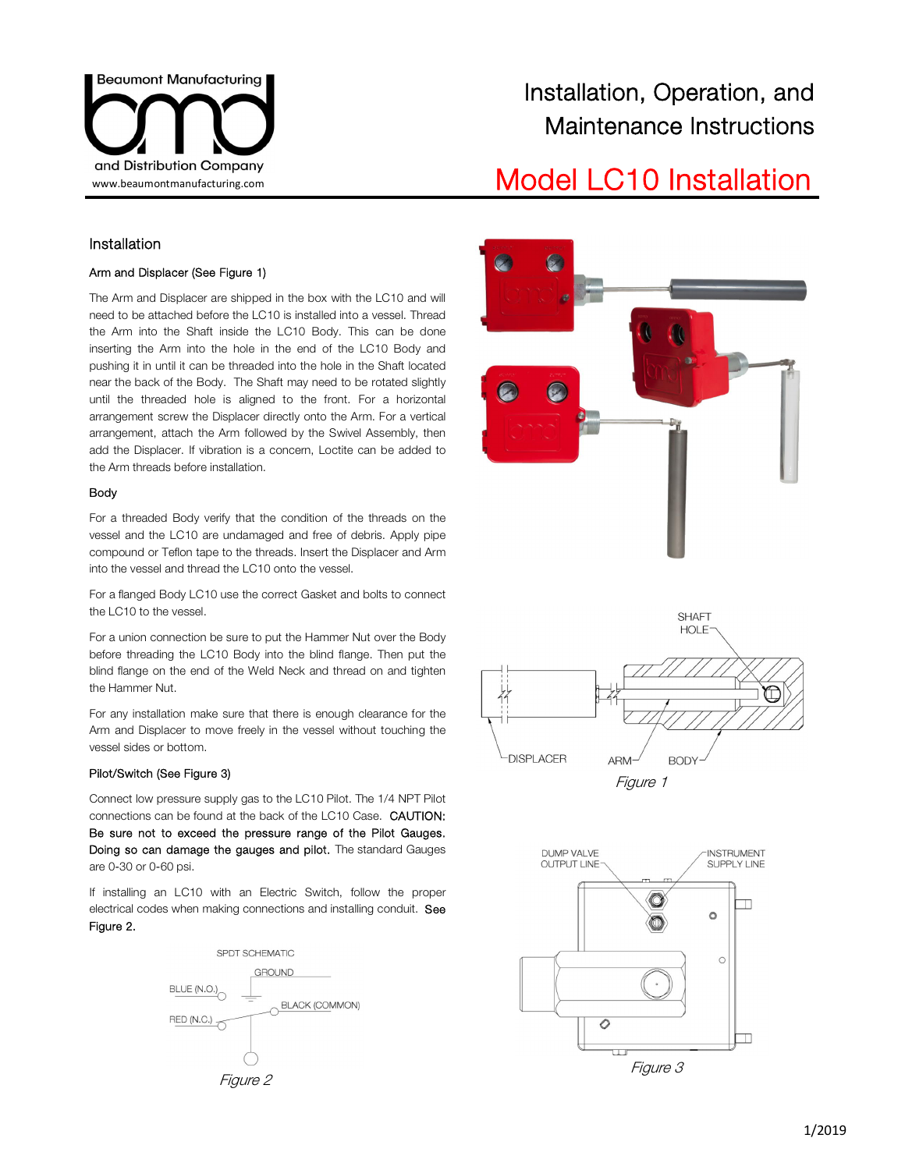

# and Distribution Company<br>
www.beaumontmanufacturing.com<br>
Model LC10 Installation

### Installation

#### Arm and Displacer (See Figure 1)

The Arm and Displacer are shipped in the box with the LC10 and will need to be attached before the LC10 is installed into a vessel. Thread the Arm into the Shaft inside the LC10 Body. This can be done inserting the Arm into the hole in the end of the LC10 Body and pushing it in until it can be threaded into the hole in the Shaft located near the back of the Body. The Shaft may need to be rotated slightly until the threaded hole is aligned to the front. For a horizontal arrangement screw the Displacer directly onto the Arm. For a vertical arrangement, attach the Arm followed by the Swivel Assembly, then add the Displacer. If vibration is a concern, Loctite can be added to the Arm threads before installation.

#### Body

For a threaded Body verify that the condition of the threads on the vessel and the LC10 are undamaged and free of debris. Apply pipe compound or Teflon tape to the threads. Insert the Displacer and Arm into the vessel and thread the LC10 onto the vessel.

For a flanged Body LC10 use the correct Gasket and bolts to connect the LC10 to the vessel.

For a union connection be sure to put the Hammer Nut over the Body before threading the LC10 Body into the blind flange. Then put the blind flange on the end of the Weld Neck and thread on and tighten the Hammer Nut.

For any installation make sure that there is enough clearance for the Arm and Displacer to move freely in the vessel without touching the vessel sides or bottom.

#### Pilot/Switch (See Figure 3)

Connect low pressure supply gas to the LC10 Pilot. The 1/4 NPT Pilot connections can be found at the back of the LC10 Case. CAUTION: Be sure not to exceed the pressure range of the Pilot Gauges. Doing so can damage the gauges and pilot. The standard Gauges are 0-30 or 0-60 psi.

If installing an LC10 with an Electric Switch, follow the proper electrical codes when making connections and installing conduit. See Figure 2.







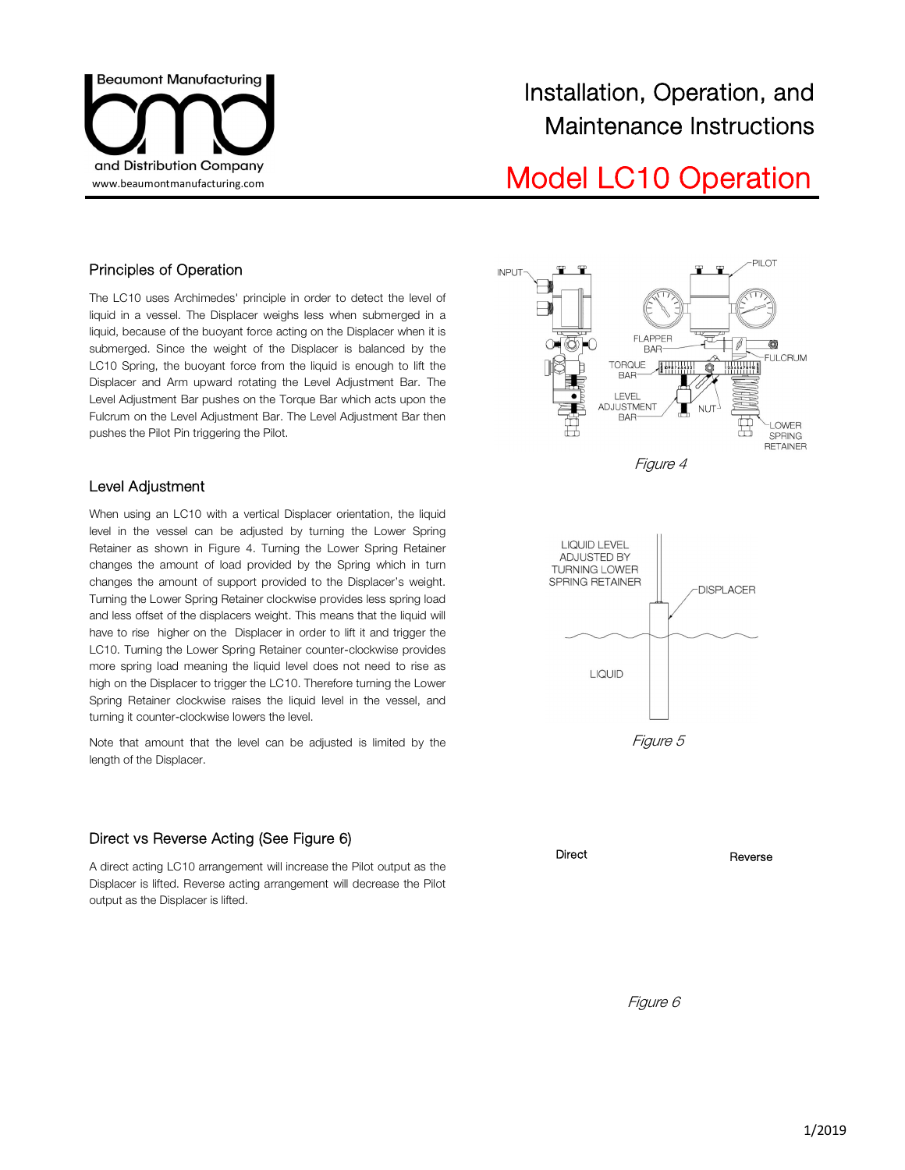

## and Distribution Company<br>www.beaumontmanufacturing.com Model LC10 Operation

### Principles of Operation

The LC10 uses Archimedes' principle in order to detect the level of liquid in a vessel. The Displacer weighs less when submerged in a liquid, because of the buoyant force acting on the Displacer when it is submerged. Since the weight of the Displacer is balanced by the LC10 Spring, the buoyant force from the liquid is enough to lift the Displacer and Arm upward rotating the Level Adjustment Bar. The Level Adjustment Bar pushes on the Torque Bar which acts upon the Fulcrum on the Level Adjustment Bar. The Level Adjustment Bar then pushes the Pilot Pin triggering the Pilot.

### Level Adjustment

When using an LC10 with a vertical Displacer orientation, the liquid level in the vessel can be adjusted by turning the Lower Spring Retainer as shown in Figure 4. Turning the Lower Spring Retainer changes the amount of load provided by the Spring which in turn changes the amount of support provided to the Displacer's weight. Turning the Lower Spring Retainer clockwise provides less spring load and less offset of the displacers weight. This means that the liquid will have to rise higher on the Displacer in order to lift it and trigger the LC10. Turning the Lower Spring Retainer counter-clockwise provides more spring load meaning the liquid level does not need to rise as high on the Displacer to trigger the LC10. Therefore turning the Lower Spring Retainer clockwise raises the liquid level in the vessel, and turning it counter-clockwise lowers the level.

Note that amount that the level can be adjusted is limited by the length of the Displacer.

### Direct vs Reverse Acting (See Figure 6)

A direct acting LC10 arrangement will increase the Pilot output as the Displacer is lifted. Reverse acting arrangement will decrease the Pilot output as the Displacer is lifted.





Figure 5



Figure 6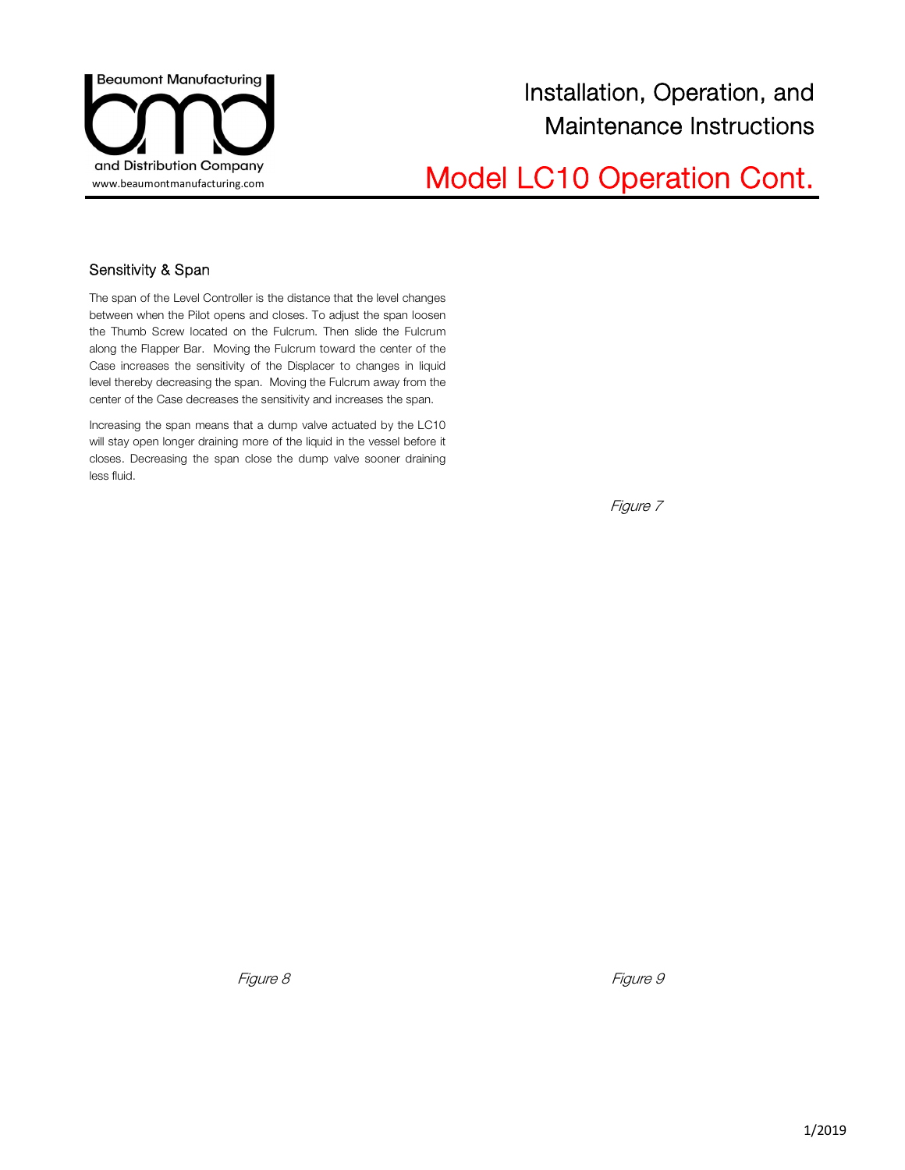

# and Distribution Company<br>Wodel LC10 Operation Cont.

### Sensitivity & Span

The span of the Level Controller is the distance that the level changes between when the Pilot opens and closes. To adjust the span loosen the Thumb Screw located on the Fulcrum. Then slide the Fulcrum along the Flapper Bar. Moving the Fulcrum toward the center of the Case increases the sensitivity of the Displacer to changes in liquid level thereby decreasing the span. Moving the Fulcrum away from the center of the Case decreases the sensitivity and increases the span.

Increasing the span means that a dump valve actuated by the LC10 will stay open longer draining more of the liquid in the vessel before it closes. Decreasing the span close the dump valve sooner draining less fluid.

Figure 7

Figure 8 Figure 9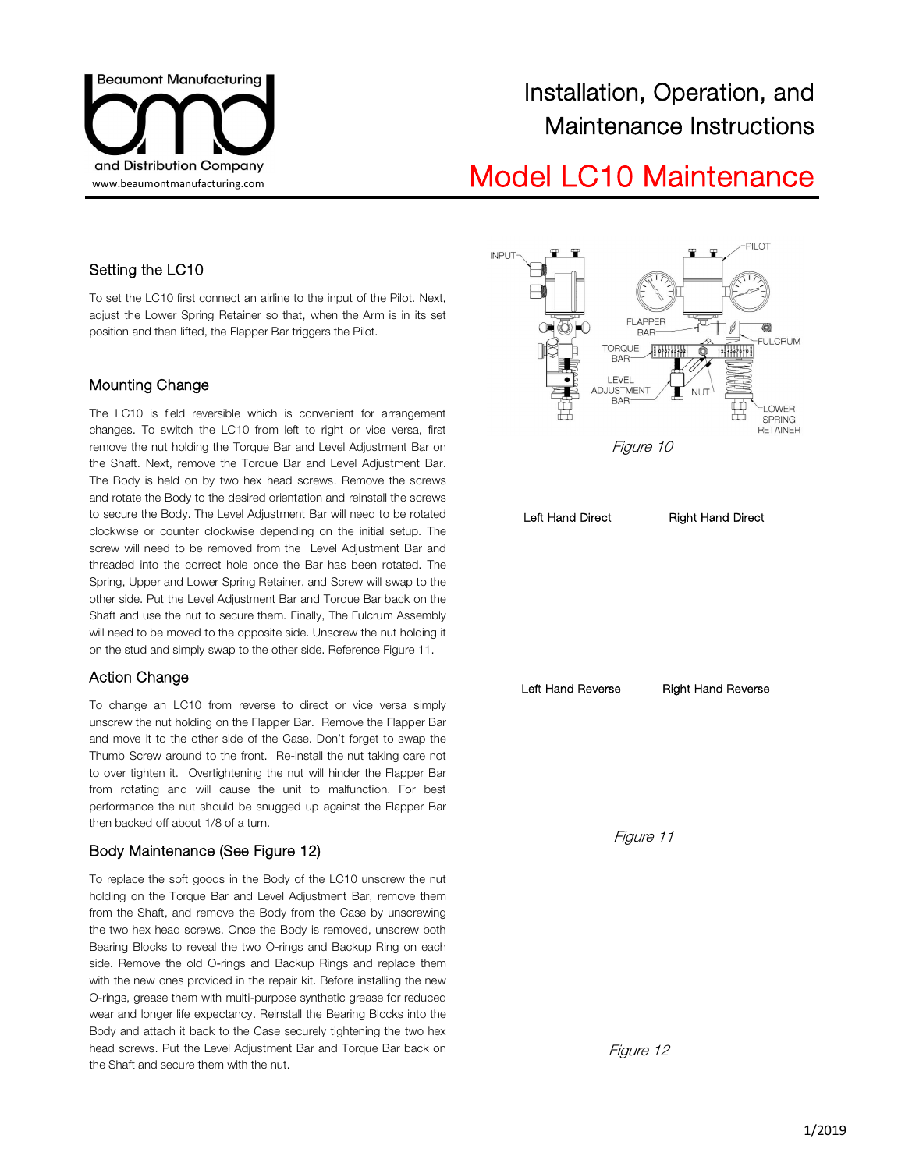

## and Distribution Company<br>www.beaumontmanufacturing.com **Model LC10 Maintenance**

### Setting the LC10

To set the LC10 first connect an airline to the input of the Pilot. Next, adjust the Lower Spring Retainer so that, when the Arm is in its set position and then lifted, the Flapper Bar triggers the Pilot.

### Mounting Change

The LC10 is field reversible which is convenient for arrangement changes. To switch the LC10 from left to right or vice versa, first remove the nut holding the Torque Bar and Level Adjustment Bar on the Shaft. Next, remove the Torque Bar and Level Adjustment Bar. The Body is held on by two hex head screws. Remove the screws and rotate the Body to the desired orientation and reinstall the screws to secure the Body. The Level Adjustment Bar will need to be rotated clockwise or counter clockwise depending on the initial setup. The screw will need to be removed from the Level Adjustment Bar and threaded into the correct hole once the Bar has been rotated. The Spring, Upper and Lower Spring Retainer, and Screw will swap to the other side. Put the Level Adjustment Bar and Torque Bar back on the Shaft and use the nut to secure them. Finally, The Fulcrum Assembly will need to be moved to the opposite side. Unscrew the nut holding it on the stud and simply swap to the other side. Reference Figure 11.

### Action Change

To change an LC10 from reverse to direct or vice versa simply unscrew the nut holding on the Flapper Bar. Remove the Flapper Bar and move it to the other side of the Case. Don't forget to swap the Thumb Screw around to the front. Re-install the nut taking care not to over tighten it. Overtightening the nut will hinder the Flapper Bar from rotating and will cause the unit to malfunction. For best performance the nut should be snugged up against the Flapper Bar then backed off about 1/8 of a turn.

### Body Maintenance (See Figure 12)

To replace the soft goods in the Body of the LC10 unscrew the nut holding on the Torque Bar and Level Adjustment Bar, remove them from the Shaft, and remove the Body from the Case by unscrewing the two hex head screws. Once the Body is removed, unscrew both Bearing Blocks to reveal the two O-rings and Backup Ring on each side. Remove the old O-rings and Backup Rings and replace them with the new ones provided in the repair kit. Before installing the new O-rings, grease them with multi-purpose synthetic grease for reduced wear and longer life expectancy. Reinstall the Bearing Blocks into the Body and attach it back to the Case securely tightening the two hex head screws. Put the Level Adjustment Bar and Torque Bar back on the Shaft and secure them with the nut.





Figure 12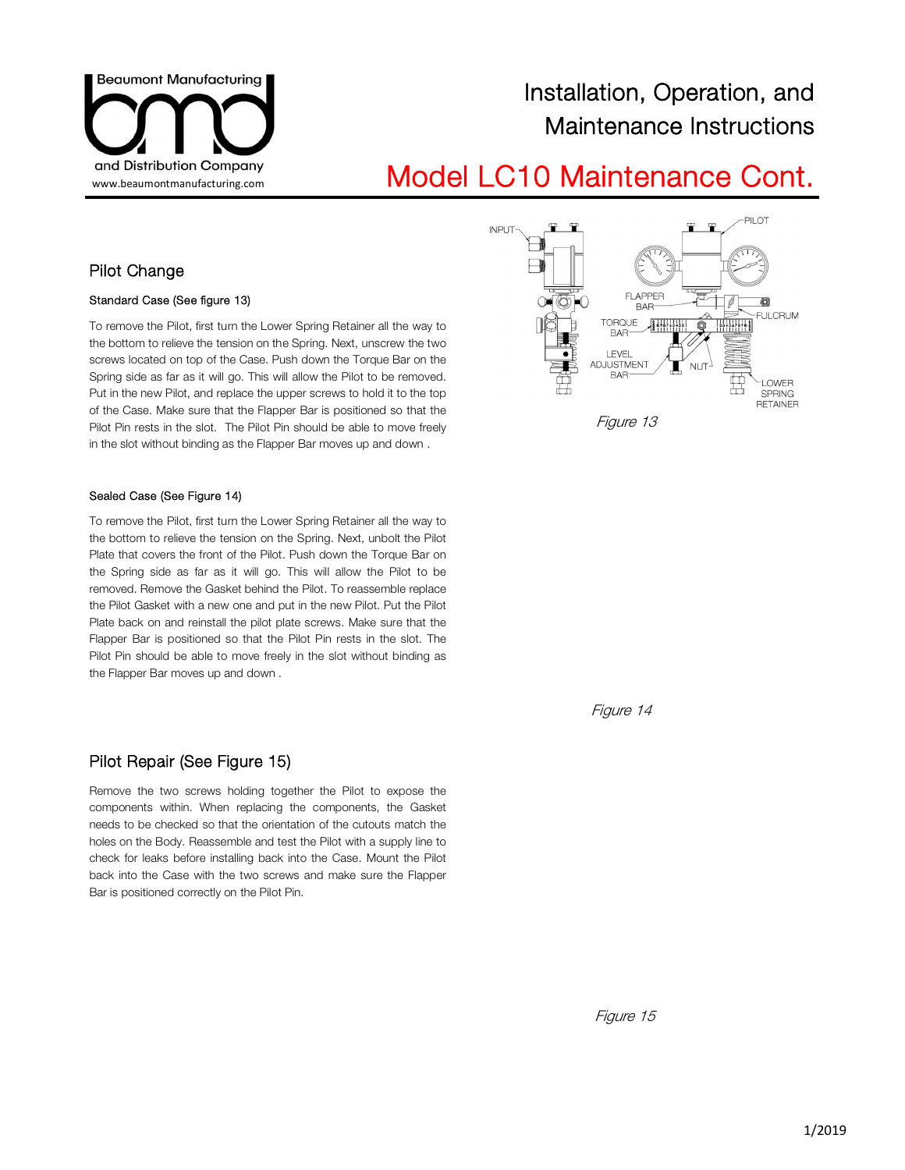

## and Distribution Company<br>www.beaumontmanufacturing.com **Model LC10 Maintenance Cont.**

### Pilot Change

#### Standard Case (See figure 13)

To remove the Pilot, first turn the Lower Spring Retainer all the way to the bottom to relieve the tension on the Spring. Next, unscrew the two screws located on top of the Case. Push down the Torque Bar on the Spring side as far as it will go. This will allow the Pilot to be removed. Put in the new Pilot, and replace the upper screws to hold it to the top of the Case. Make sure that the Flapper Bar is positioned so that the Pilot Pin rests in the slot. The Pilot Pin should be able to move freely in the slot without binding as the Flapper Bar moves up and down .

#### Sealed Case (See Figure 14)

To remove the Pilot, first turn the Lower Spring Retainer all the way to the bottom to relieve the tension on the Spring. Next, unbolt the Pilot Plate that covers the front of the Pilot. Push down the Torque Bar on the Spring side as far as it will go. This will allow the Pilot to be removed. Remove the Gasket behind the Pilot. To reassemble replace the Pilot Gasket with a new one and put in the new Pilot. Put the Pilot Plate back on and reinstall the pilot plate screws. Make sure that the Flapper Bar is positioned so that the Pilot Pin rests in the slot. The Pilot Pin should be able to move freely in the slot without binding as the Flapper Bar moves up and down .

### Pilot Repair (See Figure 15)

Remove the two screws holding together the Pilot to expose the components within. When replacing the components, the Gasket needs to be checked so that the orientation of the cutouts match the holes on the Body. Reassemble and test the Pilot with a supply line to check for leaks before installing back into the Case. Mount the Pilot back into the Case with the two screws and make sure the Flapper Bar is positioned correctly on the Pilot Pin.



Figure 14

Figure 15